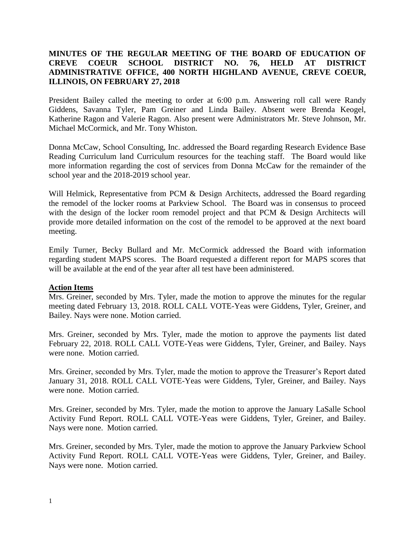# **MINUTES OF THE REGULAR MEETING OF THE BOARD OF EDUCATION OF CREVE COEUR SCHOOL DISTRICT NO. 76, HELD AT DISTRICT ADMINISTRATIVE OFFICE, 400 NORTH HIGHLAND AVENUE, CREVE COEUR, ILLINOIS, ON FEBRUARY 27, 2018**

President Bailey called the meeting to order at 6:00 p.m. Answering roll call were Randy Giddens, Savanna Tyler, Pam Greiner and Linda Bailey. Absent were Brenda Keogel, Katherine Ragon and Valerie Ragon. Also present were Administrators Mr. Steve Johnson, Mr. Michael McCormick, and Mr. Tony Whiston.

Donna McCaw, School Consulting, Inc. addressed the Board regarding Research Evidence Base Reading Curriculum land Curriculum resources for the teaching staff. The Board would like more information regarding the cost of services from Donna McCaw for the remainder of the school year and the 2018-2019 school year.

Will Helmick, Representative from PCM & Design Architects, addressed the Board regarding the remodel of the locker rooms at Parkview School. The Board was in consensus to proceed with the design of the locker room remodel project and that PCM & Design Architects will provide more detailed information on the cost of the remodel to be approved at the next board meeting.

Emily Turner, Becky Bullard and Mr. McCormick addressed the Board with information regarding student MAPS scores. The Board requested a different report for MAPS scores that will be available at the end of the year after all test have been administered.

## **Action Items**

Mrs. Greiner, seconded by Mrs. Tyler, made the motion to approve the minutes for the regular meeting dated February 13, 2018. ROLL CALL VOTE-Yeas were Giddens, Tyler, Greiner, and Bailey. Nays were none. Motion carried.

Mrs. Greiner, seconded by Mrs. Tyler, made the motion to approve the payments list dated February 22, 2018. ROLL CALL VOTE-Yeas were Giddens, Tyler, Greiner, and Bailey. Nays were none. Motion carried.

Mrs. Greiner, seconded by Mrs. Tyler, made the motion to approve the Treasurer's Report dated January 31, 2018. ROLL CALL VOTE-Yeas were Giddens, Tyler, Greiner, and Bailey. Nays were none. Motion carried.

Mrs. Greiner, seconded by Mrs. Tyler, made the motion to approve the January LaSalle School Activity Fund Report. ROLL CALL VOTE-Yeas were Giddens, Tyler, Greiner, and Bailey. Nays were none. Motion carried.

Mrs. Greiner, seconded by Mrs. Tyler, made the motion to approve the January Parkview School Activity Fund Report. ROLL CALL VOTE-Yeas were Giddens, Tyler, Greiner, and Bailey. Nays were none. Motion carried.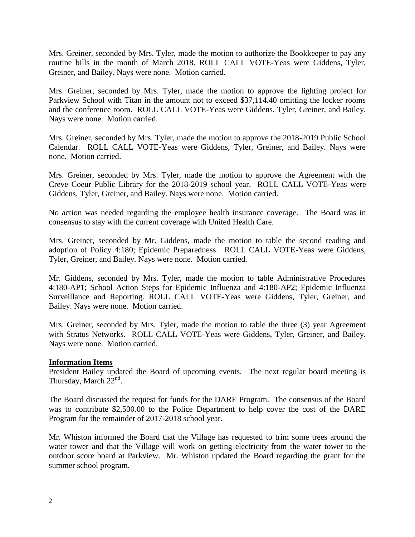Mrs. Greiner, seconded by Mrs. Tyler, made the motion to authorize the Bookkeeper to pay any routine bills in the month of March 2018. ROLL CALL VOTE-Yeas were Giddens, Tyler, Greiner, and Bailey. Nays were none. Motion carried.

Mrs. Greiner, seconded by Mrs. Tyler, made the motion to approve the lighting project for Parkview School with Titan in the amount not to exceed \$37,114.40 omitting the locker rooms and the conference room. ROLL CALL VOTE-Yeas were Giddens, Tyler, Greiner, and Bailey. Nays were none. Motion carried.

Mrs. Greiner, seconded by Mrs. Tyler, made the motion to approve the 2018-2019 Public School Calendar. ROLL CALL VOTE-Yeas were Giddens, Tyler, Greiner, and Bailey. Nays were none. Motion carried.

Mrs. Greiner, seconded by Mrs. Tyler, made the motion to approve the Agreement with the Creve Coeur Public Library for the 2018-2019 school year. ROLL CALL VOTE-Yeas were Giddens, Tyler, Greiner, and Bailey. Nays were none. Motion carried.

No action was needed regarding the employee health insurance coverage. The Board was in consensus to stay with the current coverage with United Health Care.

Mrs. Greiner, seconded by Mr. Giddens, made the motion to table the second reading and adoption of Policy 4:180; Epidemic Preparedness. ROLL CALL VOTE-Yeas were Giddens, Tyler, Greiner, and Bailey. Nays were none. Motion carried.

Mr. Giddens, seconded by Mrs. Tyler, made the motion to table Administrative Procedures 4:180-AP1; School Action Steps for Epidemic Influenza and 4:180-AP2; Epidemic Influenza Surveillance and Reporting. ROLL CALL VOTE-Yeas were Giddens, Tyler, Greiner, and Bailey. Nays were none. Motion carried.

Mrs. Greiner, seconded by Mrs. Tyler, made the motion to table the three (3) year Agreement with Stratus Networks. ROLL CALL VOTE-Yeas were Giddens, Tyler, Greiner, and Bailey. Nays were none. Motion carried.

## **Information Items**

President Bailey updated the Board of upcoming events. The next regular board meeting is Thursday, March  $22<sup>nd</sup>$ .

The Board discussed the request for funds for the DARE Program. The consensus of the Board was to contribute \$2,500.00 to the Police Department to help cover the cost of the DARE Program for the remainder of 2017-2018 school year.

Mr. Whiston informed the Board that the Village has requested to trim some trees around the water tower and that the Village will work on getting electricity from the water tower to the outdoor score board at Parkview. Mr. Whiston updated the Board regarding the grant for the summer school program.